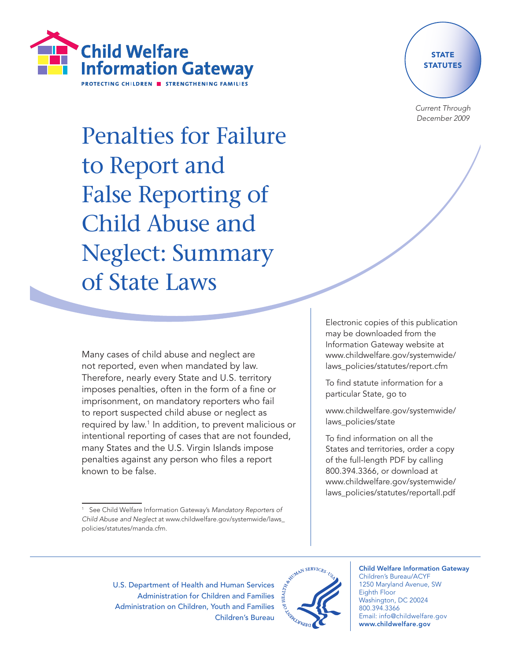



Current Through December 2009

Penalties for Failure to Report and False Reporting of Child Abuse and Neglect: Summary of State Laws

> Electronic copies of this publication may be downloaded from the Information Gateway website at www.childwelfare.gov/systemwide/ laws\_policies/statutes/report.cfm

To find statute information for a particular State, go to

www.childwelfare.gov/systemwide/ laws\_policies/state

To find information on all the States and territories, order a copy of the full-length PDF by calling 800.394.3366, or download at www.childwelfare.gov/systemwide/ laws\_policies/statutes/reportall.pdf

Many cases of child abuse and neglect are not reported, even when mandated by law. Therefore, nearly every State and U.S. territory imposes penalties, often in the form of a fine or imprisonment, on mandatory reporters who fail to report suspected child abuse or neglect as required by law.1 In addition, to prevent malicious or intentional reporting of cases that are not founded, many States and the U.S. Virgin Islands impose penalties against any person who files a report known to be false.

U.S. Department of Health and Human Services Administration for Children and Families Administration on Children, Youth and Families Children's Bureau



Child Welfare Information Gateway Children's Bureau/ACYF 1250 Maryland Avenue, SW Eighth Floor Washington, DC 20024 800.394.3366 Email: info@childwelfare.gov

www.childwelfare.gov

See Child Welfare Information Gateway's Mandatory Reporters of Child Abuse and Neglect at www.childwelfare.gov/systemwide/laws\_ policies/statutes/manda.cfm.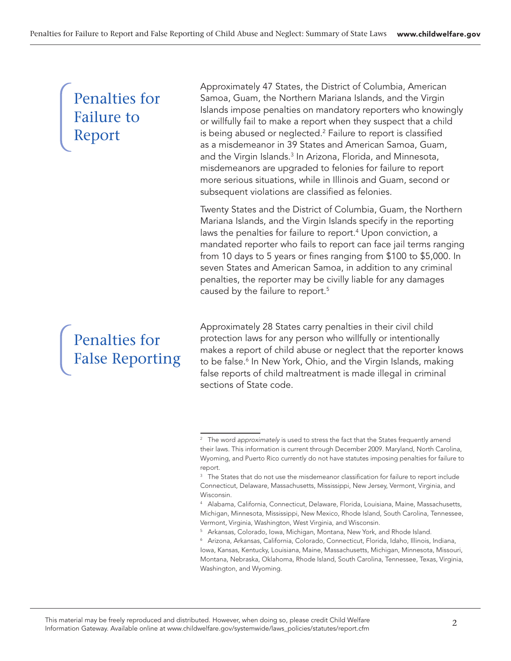# Penalties for Failure to Report

Approximately 47 States, the District of Columbia, American Samoa, Guam, the Northern Mariana Islands, and the Virgin Islands impose penalties on mandatory reporters who knowingly or willfully fail to make a report when they suspect that a child is being abused or neglected.<sup>2</sup> Failure to report is classified as a misdemeanor in 39 States and American Samoa, Guam, and the Virgin Islands.3 In Arizona, Florida, and Minnesota, misdemeanors are upgraded to felonies for failure to report more serious situations, while in Illinois and Guam, second or subsequent violations are classified as felonies.

Twenty States and the District of Columbia, Guam, the Northern Mariana Islands, and the Virgin Islands specify in the reporting laws the penalties for failure to report.<sup>4</sup> Upon conviction, a mandated reporter who fails to report can face jail terms ranging from 10 days to 5 years or fines ranging from \$100 to \$5,000. In seven States and American Samoa, in addition to any criminal penalties, the reporter may be civilly liable for any damages caused by the failure to report.5

# Penalties for False Reporting

Approximately 28 States carry penalties in their civil child protection laws for any person who willfully or intentionally makes a report of child abuse or neglect that the reporter knows to be false.<sup>6</sup> In New York, Ohio, and the Virgin Islands, making false reports of child maltreatment is made illegal in criminal sections of State code.

<sup>&</sup>lt;sup>2</sup> The word approximately is used to stress the fact that the States frequently amend their laws. This information is current through December 2009. Maryland, North Carolina, Wyoming, and Puerto Rico currently do not have statutes imposing penalties for failure to report.

<sup>&</sup>lt;sup>3</sup> The States that do not use the misdemeanor classification for failure to report include Connecticut, Delaware, Massachusetts, Mississippi, New Jersey, Vermont, Virginia, and Wisconsin.

<sup>4</sup> Alabama, California, Connecticut, Delaware, Florida, Louisiana, Maine, Massachusetts, Michigan, Minnesota, Mississippi, New Mexico, Rhode Island, South Carolina, Tennessee, Vermont, Virginia, Washington, West Virginia, and Wisconsin.

<sup>5</sup> Arkansas, Colorado, Iowa, Michigan, Montana, New York, and Rhode Island.

<sup>6</sup> Arizona, Arkansas, California, Colorado, Connecticut, Florida, Idaho, Illinois, Indiana, Iowa, Kansas, Kentucky, Louisiana, Maine, Massachusetts, Michigan, Minnesota, Missouri, Montana, Nebraska, Oklahoma, Rhode Island, South Carolina, Tennessee, Texas, Virginia, Washington, and Wyoming.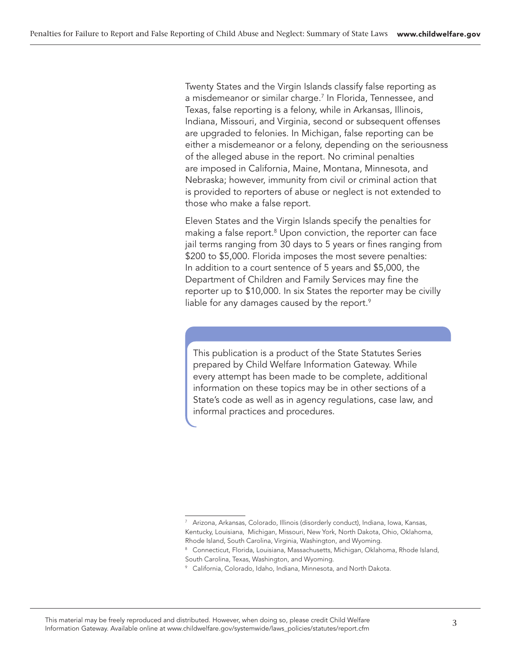Twenty States and the Virgin Islands classify false reporting as a misdemeanor or similar charge.<sup>7</sup> In Florida, Tennessee, and Texas, false reporting is a felony, while in Arkansas, Illinois, Indiana, Missouri, and Virginia, second or subsequent offenses are upgraded to felonies. In Michigan, false reporting can be either a misdemeanor or a felony, depending on the seriousness of the alleged abuse in the report. No criminal penalties are imposed in California, Maine, Montana, Minnesota, and Nebraska; however, immunity from civil or criminal action that is provided to reporters of abuse or neglect is not extended to those who make a false report.

Eleven States and the Virgin Islands specify the penalties for making a false report.<sup>8</sup> Upon conviction, the reporter can face jail terms ranging from 30 days to 5 years or fines ranging from \$200 to \$5,000. Florida imposes the most severe penalties: In addition to a court sentence of 5 years and \$5,000, the Department of Children and Family Services may fine the reporter up to \$10,000. In six States the reporter may be civilly liable for any damages caused by the report.<sup>9</sup>

This publication is a product of the State Statutes Series prepared by Child Welfare Information Gateway. While every attempt has been made to be complete, additional information on these topics may be in other sections of a State's code as well as in agency regulations, case law, and informal practices and procedures.

<sup>7</sup> Arizona, Arkansas, Colorado, Illinois (disorderly conduct), Indiana, Iowa, Kansas, Kentucky, Louisiana, Michigan, Missouri, New York, North Dakota, Ohio, Oklahoma, Rhode Island, South Carolina, Virginia, Washington, and Wyoming.

<sup>&</sup>lt;sup>8</sup> Connecticut, Florida, Louisiana, Massachusetts, Michigan, Oklahoma, Rhode Island, South Carolina, Texas, Washington, and Wyoming.

<sup>9</sup> California, Colorado, Idaho, Indiana, Minnesota, and North Dakota.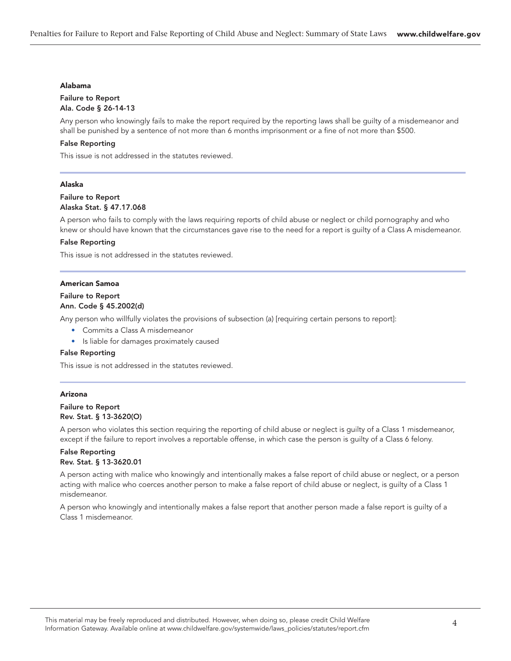#### Alabama

#### Failure to Report Ala. Code § 26-14-13

Any person who knowingly fails to make the report required by the reporting laws shall be guilty of a misdemeanor and shall be punished by a sentence of not more than 6 months imprisonment or a fine of not more than \$500.

#### False Reporting

This issue is not addressed in the statutes reviewed.

#### Alaska

#### Failure to Report Alaska Stat. § 47.17.068

A person who fails to comply with the laws requiring reports of child abuse or neglect or child pornography and who knew or should have known that the circumstances gave rise to the need for a report is guilty of a Class A misdemeanor.

#### False Reporting

This issue is not addressed in the statutes reviewed.

#### American Samoa

#### Failure to Report

#### Ann. Code § 45.2002(d)

Any person who willfully violates the provisions of subsection (a) [requiring certain persons to report]:

- Commits a Class A misdemeanor
- Is liable for damages proximately caused

#### False Reporting

This issue is not addressed in the statutes reviewed.

#### Arizona

#### Failure to Report Rev. Stat. § 13-3620(O)

A person who violates this section requiring the reporting of child abuse or neglect is guilty of a Class 1 misdemeanor, except if the failure to report involves a reportable offense, in which case the person is guilty of a Class 6 felony.

#### False Reporting Rev. Stat. § 13-3620.01

A person acting with malice who knowingly and intentionally makes a false report of child abuse or neglect, or a person acting with malice who coerces another person to make a false report of child abuse or neglect, is guilty of a Class 1 misdemeanor.

A person who knowingly and intentionally makes a false report that another person made a false report is guilty of a Class 1 misdemeanor.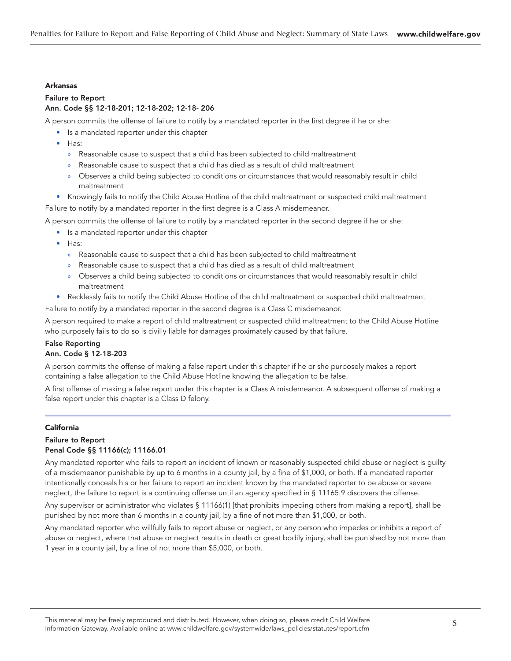#### Arkansas

#### Failure to Report Ann. Code §§ 12-18-201; 12-18-202; 12-18- 206

A person commits the offense of failure to notify by a mandated reporter in the first degree if he or she:

- Is a mandated reporter under this chapter
- Has:
	- » Reasonable cause to suspect that a child has been subjected to child maltreatment
	- » Reasonable cause to suspect that a child has died as a result of child maltreatment
	- » Observes a child being subjected to conditions or circumstances that would reasonably result in child maltreatment
- Knowingly fails to notify the Child Abuse Hotline of the child maltreatment or suspected child maltreatment Failure to notify by a mandated reporter in the first degree is a Class A misdemeanor.

A person commits the offense of failure to notify by a mandated reporter in the second degree if he or she:

- Is a mandated reporter under this chapter
- Has:
	- » Reasonable cause to suspect that a child has been subjected to child maltreatment
	- » Reasonable cause to suspect that a child has died as a result of child maltreatment
	- » Observes a child being subjected to conditions or circumstances that would reasonably result in child maltreatment
- Recklessly fails to notify the Child Abuse Hotline of the child maltreatment or suspected child maltreatment

Failure to notify by a mandated reporter in the second degree is a Class C misdemeanor.

A person required to make a report of child maltreatment or suspected child maltreatment to the Child Abuse Hotline who purposely fails to do so is civilly liable for damages proximately caused by that failure.

# False Reporting

#### Ann. Code § 12-18-203

A person commits the offense of making a false report under this chapter if he or she purposely makes a report containing a false allegation to the Child Abuse Hotline knowing the allegation to be false.

A first offense of making a false report under this chapter is a Class A misdemeanor. A subsequent offense of making a false report under this chapter is a Class D felony.

#### California

#### Failure to Report Penal Code §§ 11166(c); 11166.01

Any mandated reporter who fails to report an incident of known or reasonably suspected child abuse or neglect is guilty of a misdemeanor punishable by up to 6 months in a county jail, by a fine of \$1,000, or both. If a mandated reporter intentionally conceals his or her failure to report an incident known by the mandated reporter to be abuse or severe neglect, the failure to report is a continuing offense until an agency specified in § 11165.9 discovers the offense.

Any supervisor or administrator who violates § 11166(1) [that prohibits impeding others from making a report], shall be punished by not more than 6 months in a county jail, by a fine of not more than \$1,000, or both.

Any mandated reporter who willfully fails to report abuse or neglect, or any person who impedes or inhibits a report of abuse or neglect, where that abuse or neglect results in death or great bodily injury, shall be punished by not more than 1 year in a county jail, by a fine of not more than \$5,000, or both.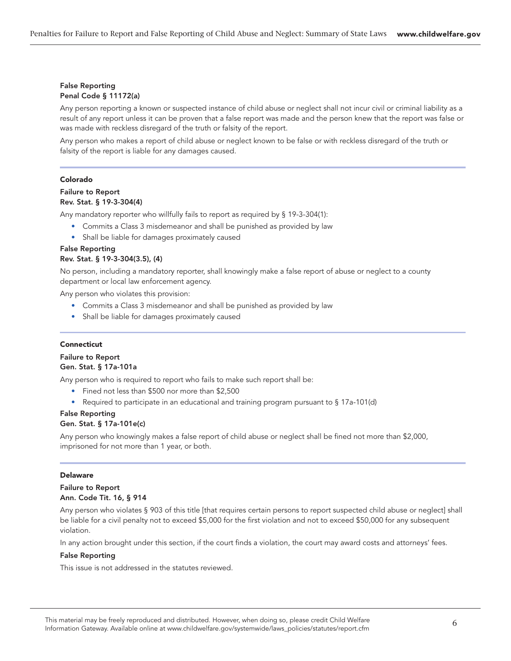# False Reporting Penal Code § 11172(a)

Any person reporting a known or suspected instance of child abuse or neglect shall not incur civil or criminal liability as a result of any report unless it can be proven that a false report was made and the person knew that the report was false or was made with reckless disregard of the truth or falsity of the report.

Any person who makes a report of child abuse or neglect known to be false or with reckless disregard of the truth or falsity of the report is liable for any damages caused.

#### Colorado

# Failure to Report Rev. Stat. § 19-3-304(4)

Any mandatory reporter who willfully fails to report as required by § 19-3-304(1):

- Commits a Class 3 misdemeanor and shall be punished as provided by law
- Shall be liable for damages proximately caused

#### False Reporting Rev. Stat. § 19-3-304(3.5), (4)

No person, including a mandatory reporter, shall knowingly make a false report of abuse or neglect to a county department or local law enforcement agency.

Any person who violates this provision:

- Commits a Class 3 misdemeanor and shall be punished as provided by law
- Shall be liable for damages proximately caused

#### Connecticut

# Failure to Report Gen. Stat. § 17a-101a

Any person who is required to report who fails to make such report shall be:

- Fined not less than \$500 nor more than \$2,500
- Required to participate in an educational and training program pursuant to § 17a-101(d)

#### False Reporting Gen. Stat. § 17a-101e(c)

Any person who knowingly makes a false report of child abuse or neglect shall be fined not more than \$2,000, imprisoned for not more than 1 year, or both.

#### Delaware

# Failure to Report Ann. Code Tit. 16, § 914

Any person who violates § 903 of this title [that requires certain persons to report suspected child abuse or neglect] shall be liable for a civil penalty not to exceed \$5,000 for the first violation and not to exceed \$50,000 for any subsequent violation.

In any action brought under this section, if the court finds a violation, the court may award costs and attorneys' fees.

# False Reporting

This issue is not addressed in the statutes reviewed.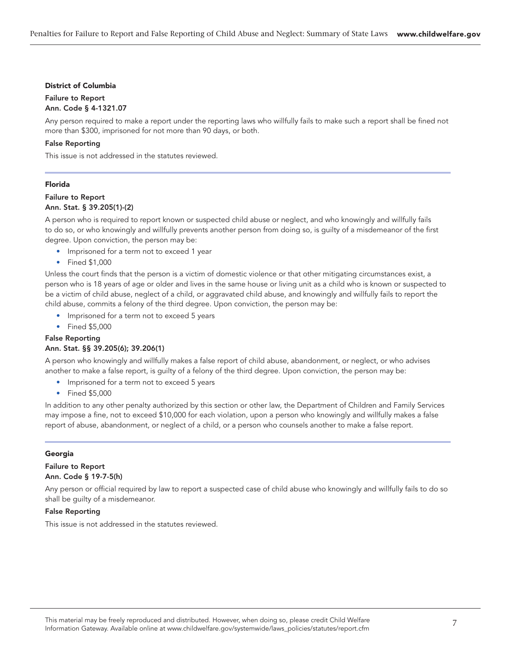#### District of Columbia

# Failure to Report

Ann. Code § 4-1321.07

Any person required to make a report under the reporting laws who willfully fails to make such a report shall be fined not more than \$300, imprisoned for not more than 90 days, or both.

#### False Reporting

This issue is not addressed in the statutes reviewed.

#### Florida

#### Failure to Report Ann. Stat. § 39.205(1)-(2)

A person who is required to report known or suspected child abuse or neglect, and who knowingly and willfully fails to do so, or who knowingly and willfully prevents another person from doing so, is guilty of a misdemeanor of the first degree. Upon conviction, the person may be:

- Imprisoned for a term not to exceed 1 year
- Fined \$1,000

Unless the court finds that the person is a victim of domestic violence or that other mitigating circumstances exist, a person who is 18 years of age or older and lives in the same house or living unit as a child who is known or suspected to be a victim of child abuse, neglect of a child, or aggravated child abuse, and knowingly and willfully fails to report the child abuse, commits a felony of the third degree. Upon conviction, the person may be:

- Imprisoned for a term not to exceed 5 years
- Fined \$5,000

# False Reporting

# Ann. Stat. §§ 39.205(6); 39.206(1)

A person who knowingly and willfully makes a false report of child abuse, abandonment, or neglect, or who advises another to make a false report, is guilty of a felony of the third degree. Upon conviction, the person may be:

- Imprisoned for a term not to exceed 5 years
- Fined \$5,000

In addition to any other penalty authorized by this section or other law, the Department of Children and Family Services may impose a fine, not to exceed \$10,000 for each violation, upon a person who knowingly and willfully makes a false report of abuse, abandonment, or neglect of a child, or a person who counsels another to make a false report.

#### Georgia

# Failure to Report Ann. Code § 19-7-5(h)

Any person or official required by law to report a suspected case of child abuse who knowingly and willfully fails to do so shall be guilty of a misdemeanor.

# False Reporting

This issue is not addressed in the statutes reviewed.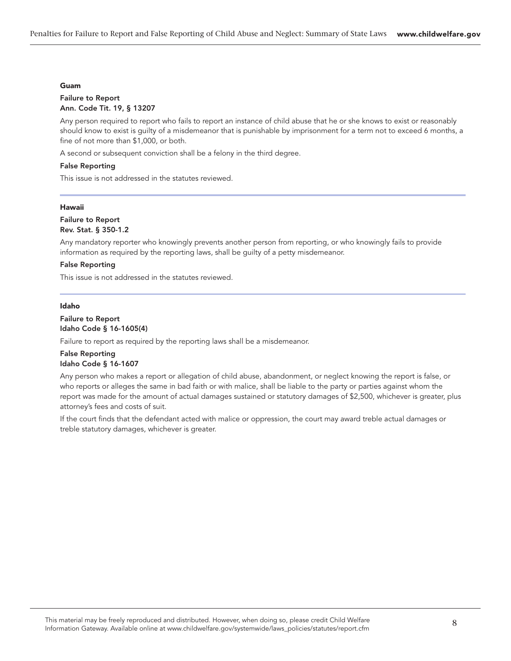#### Guam

#### Failure to Report Ann. Code Tit. 19, § 13207

Any person required to report who fails to report an instance of child abuse that he or she knows to exist or reasonably should know to exist is guilty of a misdemeanor that is punishable by imprisonment for a term not to exceed 6 months, a fine of not more than \$1,000, or both.

A second or subsequent conviction shall be a felony in the third degree.

#### False Reporting

This issue is not addressed in the statutes reviewed.

#### Hawaii

#### Failure to Report Rev. Stat. § 350-1.2

Any mandatory reporter who knowingly prevents another person from reporting, or who knowingly fails to provide information as required by the reporting laws, shall be guilty of a petty misdemeanor.

#### False Reporting

This issue is not addressed in the statutes reviewed.

#### Idaho

#### Failure to Report Idaho Code § 16-1605(4)

Failure to report as required by the reporting laws shall be a misdemeanor.

#### False Reporting Idaho Code § 16-1607

Any person who makes a report or allegation of child abuse, abandonment, or neglect knowing the report is false, or who reports or alleges the same in bad faith or with malice, shall be liable to the party or parties against whom the report was made for the amount of actual damages sustained or statutory damages of \$2,500, whichever is greater, plus attorney's fees and costs of suit.

If the court finds that the defendant acted with malice or oppression, the court may award treble actual damages or treble statutory damages, whichever is greater.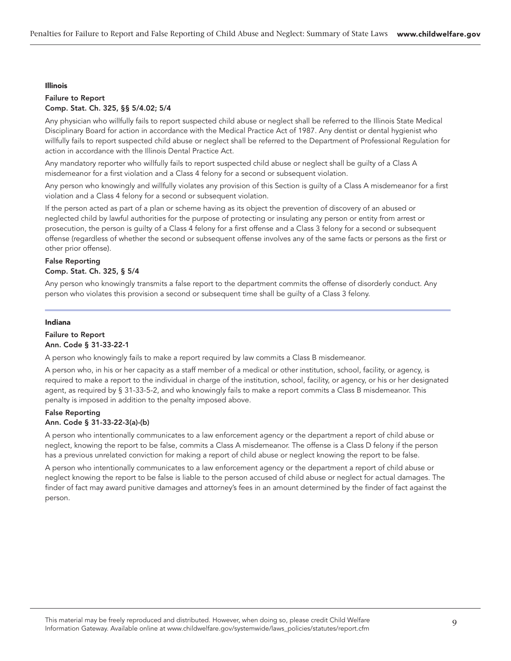#### Illinois

#### Failure to Report Comp. Stat. Ch. 325, §§ 5/4.02; 5/4

Any physician who willfully fails to report suspected child abuse or neglect shall be referred to the Illinois State Medical Disciplinary Board for action in accordance with the Medical Practice Act of 1987. Any dentist or dental hygienist who willfully fails to report suspected child abuse or neglect shall be referred to the Department of Professional Regulation for action in accordance with the Illinois Dental Practice Act.

Any mandatory reporter who willfully fails to report suspected child abuse or neglect shall be guilty of a Class A misdemeanor for a first violation and a Class 4 felony for a second or subsequent violation.

Any person who knowingly and willfully violates any provision of this Section is guilty of a Class A misdemeanor for a first violation and a Class 4 felony for a second or subsequent violation.

If the person acted as part of a plan or scheme having as its object the prevention of discovery of an abused or neglected child by lawful authorities for the purpose of protecting or insulating any person or entity from arrest or prosecution, the person is guilty of a Class 4 felony for a first offense and a Class 3 felony for a second or subsequent offense (regardless of whether the second or subsequent offense involves any of the same facts or persons as the first or other prior offense).

# False Reporting Comp. Stat. Ch. 325, § 5/4

Any person who knowingly transmits a false report to the department commits the offense of disorderly conduct. Any person who violates this provision a second or subsequent time shall be guilty of a Class 3 felony.

#### Indiana

# Failure to Report Ann. Code § 31-33-22-1

A person who knowingly fails to make a report required by law commits a Class B misdemeanor.

A person who, in his or her capacity as a staff member of a medical or other institution, school, facility, or agency, is required to make a report to the individual in charge of the institution, school, facility, or agency, or his or her designated agent, as required by § 31-33-5-2, and who knowingly fails to make a report commits a Class B misdemeanor. This penalty is imposed in addition to the penalty imposed above.

#### False Reporting Ann. Code § 31-33-22-3(a)-(b)

A person who intentionally communicates to a law enforcement agency or the department a report of child abuse or neglect, knowing the report to be false, commits a Class A misdemeanor. The offense is a Class D felony if the person has a previous unrelated conviction for making a report of child abuse or neglect knowing the report to be false.

A person who intentionally communicates to a law enforcement agency or the department a report of child abuse or neglect knowing the report to be false is liable to the person accused of child abuse or neglect for actual damages. The finder of fact may award punitive damages and attorney's fees in an amount determined by the finder of fact against the person.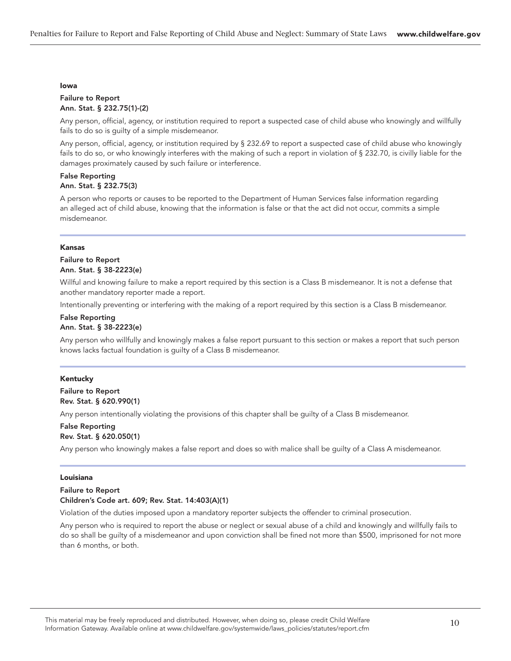#### Iowa

#### Failure to Report Ann. Stat. § 232.75(1)-(2)

Any person, official, agency, or institution required to report a suspected case of child abuse who knowingly and willfully fails to do so is guilty of a simple misdemeanor.

Any person, official, agency, or institution required by § 232.69 to report a suspected case of child abuse who knowingly fails to do so, or who knowingly interferes with the making of such a report in violation of § 232.70, is civilly liable for the damages proximately caused by such failure or interference.

#### False Reporting Ann. Stat. § 232.75(3)

A person who reports or causes to be reported to the Department of Human Services false information regarding an alleged act of child abuse, knowing that the information is false or that the act did not occur, commits a simple misdemeanor.

#### Kansas

# Failure to Report Ann. Stat. § 38-2223(e)

Willful and knowing failure to make a report required by this section is a Class B misdemeanor. It is not a defense that another mandatory reporter made a report.

Intentionally preventing or interfering with the making of a report required by this section is a Class B misdemeanor.

#### False Reporting Ann. Stat. § 38-2223(e)

Any person who willfully and knowingly makes a false report pursuant to this section or makes a report that such person knows lacks factual foundation is guilty of a Class B misdemeanor.

#### Kentucky

# Failure to Report Rev. Stat. § 620.990(1)

Any person intentionally violating the provisions of this chapter shall be guilty of a Class B misdemeanor.

#### False Reporting Rev. Stat. § 620.050(1)

Any person who knowingly makes a false report and does so with malice shall be guilty of a Class A misdemeanor.

#### Louisiana

#### Failure to Report Children's Code art. 609; Rev. Stat. 14:403(A)(1)

Violation of the duties imposed upon a mandatory reporter subjects the offender to criminal prosecution.

Any person who is required to report the abuse or neglect or sexual abuse of a child and knowingly and willfully fails to do so shall be guilty of a misdemeanor and upon conviction shall be fined not more than \$500, imprisoned for not more than 6 months, or both.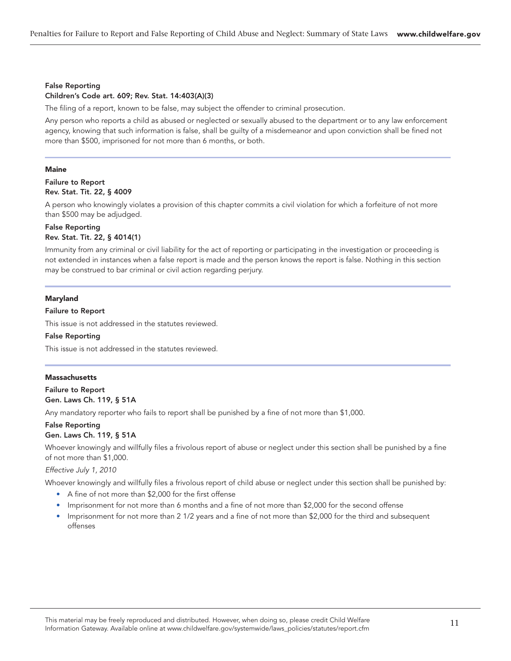# False Reporting

# Children's Code art. 609; Rev. Stat. 14:403(A)(3)

The filing of a report, known to be false, may subject the offender to criminal prosecution.

Any person who reports a child as abused or neglected or sexually abused to the department or to any law enforcement agency, knowing that such information is false, shall be guilty of a misdemeanor and upon conviction shall be fined not more than \$500, imprisoned for not more than 6 months, or both.

#### **Maine**

#### Failure to Report Rev. Stat. Tit. 22, § 4009

A person who knowingly violates a provision of this chapter commits a civil violation for which a forfeiture of not more than \$500 may be adjudged.

#### False Reporting Rev. Stat. Tit. 22, § 4014(1)

Immunity from any criminal or civil liability for the act of reporting or participating in the investigation or proceeding is not extended in instances when a false report is made and the person knows the report is false. Nothing in this section may be construed to bar criminal or civil action regarding perjury.

#### Maryland

#### Failure to Report

This issue is not addressed in the statutes reviewed.

#### False Reporting

This issue is not addressed in the statutes reviewed.

#### **Massachusetts**

Failure to Report Gen. Laws Ch. 119, § 51A

Any mandatory reporter who fails to report shall be punished by a fine of not more than \$1,000.

# False Reporting

# Gen. Laws Ch. 119, § 51A

Whoever knowingly and willfully files a frivolous report of abuse or neglect under this section shall be punished by a fine of not more than \$1,000.

#### Effective July 1, 2010

Whoever knowingly and willfully files a frivolous report of child abuse or neglect under this section shall be punished by:

- A fine of not more than \$2,000 for the first offense
- Imprisonment for not more than 6 months and a fine of not more than \$2,000 for the second offense
- Imprisonment for not more than 2 1/2 years and a fine of not more than \$2,000 for the third and subsequent offenses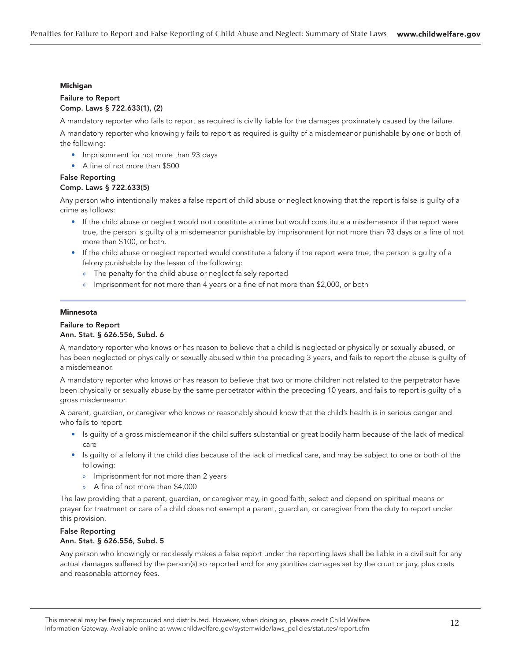#### Michigan

#### Failure to Report Comp. Laws § 722.633(1), (2)

A mandatory reporter who fails to report as required is civilly liable for the damages proximately caused by the failure.

A mandatory reporter who knowingly fails to report as required is guilty of a misdemeanor punishable by one or both of the following:

- Imprisonment for not more than 93 days
- A fine of not more than \$500

# False Reporting

# Comp. Laws § 722.633(5)

Any person who intentionally makes a false report of child abuse or neglect knowing that the report is false is guilty of a crime as follows:

- If the child abuse or neglect would not constitute a crime but would constitute a misdemeanor if the report were true, the person is guilty of a misdemeanor punishable by imprisonment for not more than 93 days or a fine of not more than \$100, or both.
- If the child abuse or neglect reported would constitute a felony if the report were true, the person is guilty of a felony punishable by the lesser of the following:
	- » The penalty for the child abuse or neglect falsely reported
	- » Imprisonment for not more than 4 years or a fine of not more than \$2,000, or both

#### Minnesota

#### Failure to Report Ann. Stat. § 626.556, Subd. 6

A mandatory reporter who knows or has reason to believe that a child is neglected or physically or sexually abused, or has been neglected or physically or sexually abused within the preceding 3 years, and fails to report the abuse is guilty of a misdemeanor.

A mandatory reporter who knows or has reason to believe that two or more children not related to the perpetrator have been physically or sexually abuse by the same perpetrator within the preceding 10 years, and fails to report is guilty of a gross misdemeanor.

A parent, guardian, or caregiver who knows or reasonably should know that the child's health is in serious danger and who fails to report:

- Is guilty of a gross misdemeanor if the child suffers substantial or great bodily harm because of the lack of medical care
- Is guilty of a felony if the child dies because of the lack of medical care, and may be subject to one or both of the following:
	- » Imprisonment for not more than 2 years
	- » A fine of not more than \$4,000

The law providing that a parent, guardian, or caregiver may, in good faith, select and depend on spiritual means or prayer for treatment or care of a child does not exempt a parent, guardian, or caregiver from the duty to report under this provision.

# False Reporting Ann. Stat. § 626.556, Subd. 5

Any person who knowingly or recklessly makes a false report under the reporting laws shall be liable in a civil suit for any actual damages suffered by the person(s) so reported and for any punitive damages set by the court or jury, plus costs and reasonable attorney fees.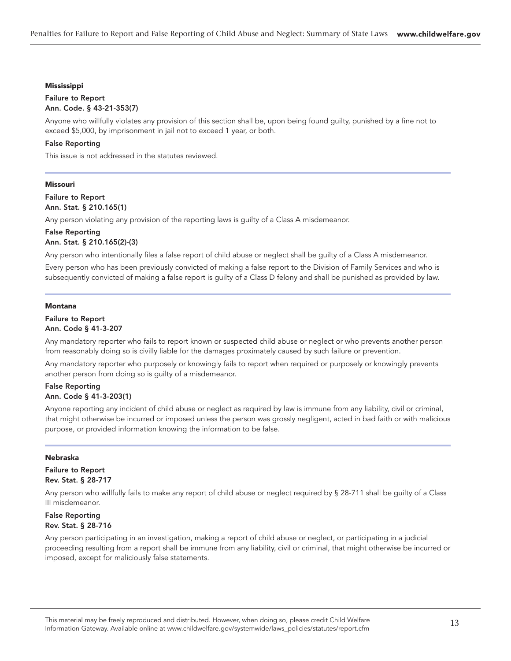#### Mississippi

#### Failure to Report Ann. Code. § 43-21-353(7)

Anyone who willfully violates any provision of this section shall be, upon being found guilty, punished by a fine not to exceed \$5,000, by imprisonment in jail not to exceed 1 year, or both.

#### False Reporting

This issue is not addressed in the statutes reviewed.

#### Missouri

Failure to Report Ann. Stat. § 210.165(1)

Any person violating any provision of the reporting laws is guilty of a Class A misdemeanor.

# False Reporting Ann. Stat. § 210.165(2)-(3)

Any person who intentionally files a false report of child abuse or neglect shall be guilty of a Class A misdemeanor.

Every person who has been previously convicted of making a false report to the Division of Family Services and who is subsequently convicted of making a false report is guilty of a Class D felony and shall be punished as provided by law.

#### Montana

#### Failure to Report Ann. Code § 41-3-207

Any mandatory reporter who fails to report known or suspected child abuse or neglect or who prevents another person from reasonably doing so is civilly liable for the damages proximately caused by such failure or prevention.

Any mandatory reporter who purposely or knowingly fails to report when required or purposely or knowingly prevents another person from doing so is guilty of a misdemeanor.

#### False Reporting Ann. Code § 41-3-203(1)

Anyone reporting any incident of child abuse or neglect as required by law is immune from any liability, civil or criminal, that might otherwise be incurred or imposed unless the person was grossly negligent, acted in bad faith or with malicious purpose, or provided information knowing the information to be false.

#### Nebraska

Failure to Report Rev. Stat. § 28-717

Any person who willfully fails to make any report of child abuse or neglect required by § 28-711 shall be guilty of a Class III misdemeanor.

# False Reporting Rev. Stat. § 28-716

Any person participating in an investigation, making a report of child abuse or neglect, or participating in a judicial proceeding resulting from a report shall be immune from any liability, civil or criminal, that might otherwise be incurred or imposed, except for maliciously false statements.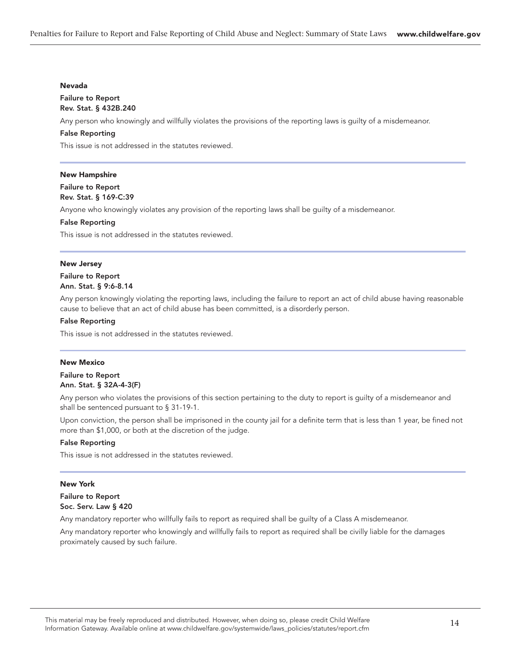#### Nevada

#### Failure to Report Rev. Stat. § 432B.240

Any person who knowingly and willfully violates the provisions of the reporting laws is guilty of a misdemeanor.

#### False Reporting

This issue is not addressed in the statutes reviewed.

#### New Hampshire

#### Failure to Report Rev. Stat. § 169-C:39

Anyone who knowingly violates any provision of the reporting laws shall be guilty of a misdemeanor.

# False Reporting

This issue is not addressed in the statutes reviewed.

#### New Jersey

#### Failure to Report Ann. Stat. § 9:6-8.14

Any person knowingly violating the reporting laws, including the failure to report an act of child abuse having reasonable cause to believe that an act of child abuse has been committed, is a disorderly person.

#### False Reporting

This issue is not addressed in the statutes reviewed.

#### New Mexico

# Failure to Report Ann. Stat. § 32A-4-3(F)

Any person who violates the provisions of this section pertaining to the duty to report is guilty of a misdemeanor and shall be sentenced pursuant to § 31-19-1.

Upon conviction, the person shall be imprisoned in the county jail for a definite term that is less than 1 year, be fined not more than \$1,000, or both at the discretion of the judge.

#### False Reporting

This issue is not addressed in the statutes reviewed.

#### New York

# Failure to Report Soc. Serv. Law § 420

Any mandatory reporter who willfully fails to report as required shall be guilty of a Class A misdemeanor.

Any mandatory reporter who knowingly and willfully fails to report as required shall be civilly liable for the damages proximately caused by such failure.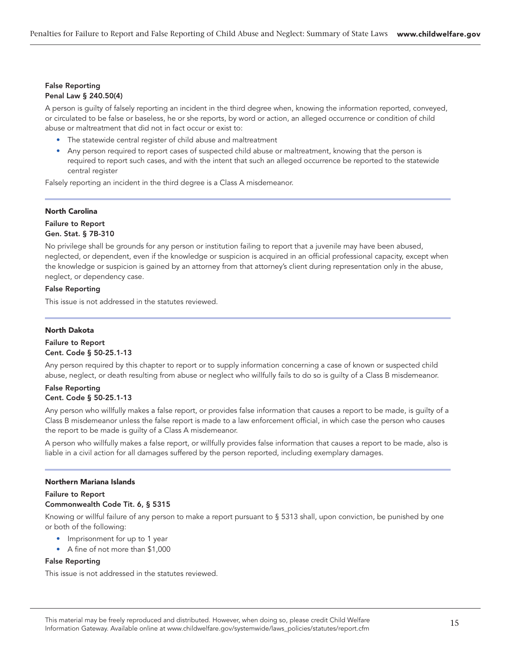#### False Reporting Penal Law § 240.50(4)

A person is guilty of falsely reporting an incident in the third degree when, knowing the information reported, conveyed, or circulated to be false or baseless, he or she reports, by word or action, an alleged occurrence or condition of child abuse or maltreatment that did not in fact occur or exist to:

- The statewide central register of child abuse and maltreatment
- Any person required to report cases of suspected child abuse or maltreatment, knowing that the person is required to report such cases, and with the intent that such an alleged occurrence be reported to the statewide central register

Falsely reporting an incident in the third degree is a Class A misdemeanor.

#### North Carolina

# Failure to Report Gen. Stat. § 7B-310

No privilege shall be grounds for any person or institution failing to report that a juvenile may have been abused, neglected, or dependent, even if the knowledge or suspicion is acquired in an official professional capacity, except when the knowledge or suspicion is gained by an attorney from that attorney's client during representation only in the abuse, neglect, or dependency case.

# False Reporting

This issue is not addressed in the statutes reviewed.

#### North Dakota

#### Failure to Report Cent. Code § 50-25.1-13

Any person required by this chapter to report or to supply information concerning a case of known or suspected child abuse, neglect, or death resulting from abuse or neglect who willfully fails to do so is guilty of a Class B misdemeanor.

# False Reporting Cent. Code § 50-25.1-13

Any person who willfully makes a false report, or provides false information that causes a report to be made, is guilty of a Class B misdemeanor unless the false report is made to a law enforcement official, in which case the person who causes the report to be made is guilty of a Class A misdemeanor.

A person who willfully makes a false report, or willfully provides false information that causes a report to be made, also is liable in a civil action for all damages suffered by the person reported, including exemplary damages.

#### Northern Mariana Islands

# Failure to Report Commonwealth Code Tit. 6, § 5315

Knowing or willful failure of any person to make a report pursuant to § 5313 shall, upon conviction, be punished by one or both of the following:

- Imprisonment for up to 1 year
- A fine of not more than \$1,000

#### False Reporting

This issue is not addressed in the statutes reviewed.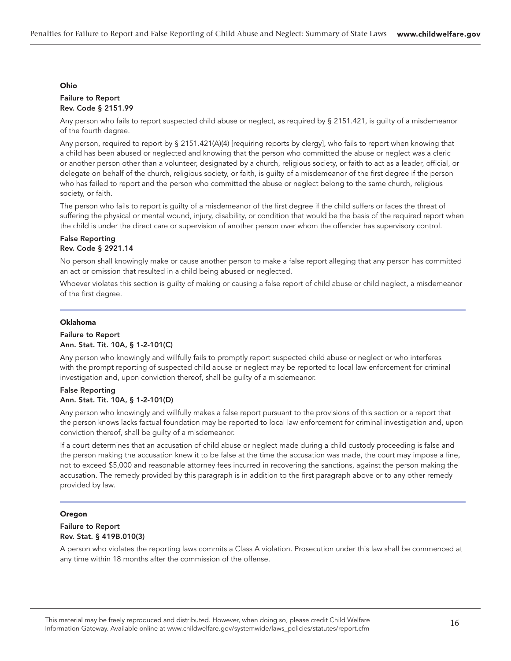#### Ohio

#### Failure to Report Rev. Code § 2151.99

Any person who fails to report suspected child abuse or neglect, as required by § 2151.421, is guilty of a misdemeanor of the fourth degree.

Any person, required to report by § 2151.421(A)(4) [requiring reports by clergy], who fails to report when knowing that a child has been abused or neglected and knowing that the person who committed the abuse or neglect was a cleric or another person other than a volunteer, designated by a church, religious society, or faith to act as a leader, official, or delegate on behalf of the church, religious society, or faith, is guilty of a misdemeanor of the first degree if the person who has failed to report and the person who committed the abuse or neglect belong to the same church, religious society, or faith.

The person who fails to report is guilty of a misdemeanor of the first degree if the child suffers or faces the threat of suffering the physical or mental wound, injury, disability, or condition that would be the basis of the required report when the child is under the direct care or supervision of another person over whom the offender has supervisory control.

# False Reporting Rev. Code § 2921.14

No person shall knowingly make or cause another person to make a false report alleging that any person has committed an act or omission that resulted in a child being abused or neglected.

Whoever violates this section is guilty of making or causing a false report of child abuse or child neglect, a misdemeanor of the first degree.

#### Oklahoma

#### Failure to Report Ann. Stat. Tit. 10A, § 1-2-101(C)

Any person who knowingly and willfully fails to promptly report suspected child abuse or neglect or who interferes with the prompt reporting of suspected child abuse or neglect may be reported to local law enforcement for criminal investigation and, upon conviction thereof, shall be guilty of a misdemeanor.

#### False Reporting Ann. Stat. Tit. 10A, § 1-2-101(D)

Any person who knowingly and willfully makes a false report pursuant to the provisions of this section or a report that the person knows lacks factual foundation may be reported to local law enforcement for criminal investigation and, upon conviction thereof, shall be guilty of a misdemeanor.

If a court determines that an accusation of child abuse or neglect made during a child custody proceeding is false and the person making the accusation knew it to be false at the time the accusation was made, the court may impose a fine, not to exceed \$5,000 and reasonable attorney fees incurred in recovering the sanctions, against the person making the accusation. The remedy provided by this paragraph is in addition to the first paragraph above or to any other remedy provided by law.

# Oregon

#### Failure to Report Rev. Stat. § 419B.010(3)

A person who violates the reporting laws commits a Class A violation. Prosecution under this law shall be commenced at any time within 18 months after the commission of the offense.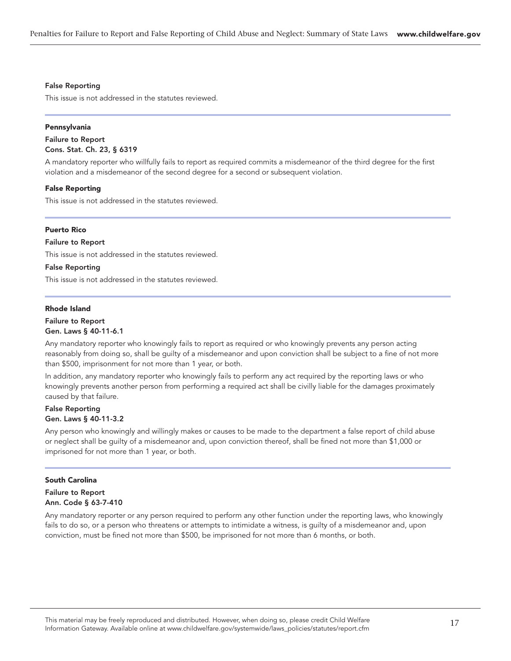#### False Reporting

This issue is not addressed in the statutes reviewed.

#### Pennsylvania

Failure to Report Cons. Stat. Ch. 23, § 6319

A mandatory reporter who willfully fails to report as required commits a misdemeanor of the third degree for the first violation and a misdemeanor of the second degree for a second or subsequent violation.

#### False Reporting

This issue is not addressed in the statutes reviewed.

#### Puerto Rico

#### Failure to Report

This issue is not addressed in the statutes reviewed.

#### False Reporting

This issue is not addressed in the statutes reviewed.

#### Rhode Island

#### Failure to Report Gen. Laws § 40-11-6.1

Any mandatory reporter who knowingly fails to report as required or who knowingly prevents any person acting reasonably from doing so, shall be guilty of a misdemeanor and upon conviction shall be subject to a fine of not more than \$500, imprisonment for not more than 1 year, or both.

In addition, any mandatory reporter who knowingly fails to perform any act required by the reporting laws or who knowingly prevents another person from performing a required act shall be civilly liable for the damages proximately caused by that failure.

# False Reporting Gen. Laws § 40-11-3.2

Any person who knowingly and willingly makes or causes to be made to the department a false report of child abuse or neglect shall be guilty of a misdemeanor and, upon conviction thereof, shall be fined not more than \$1,000 or imprisoned for not more than 1 year, or both.

#### South Carolina

# Failure to Report Ann. Code § 63-7-410

Any mandatory reporter or any person required to perform any other function under the reporting laws, who knowingly fails to do so, or a person who threatens or attempts to intimidate a witness, is guilty of a misdemeanor and, upon conviction, must be fined not more than \$500, be imprisoned for not more than 6 months, or both.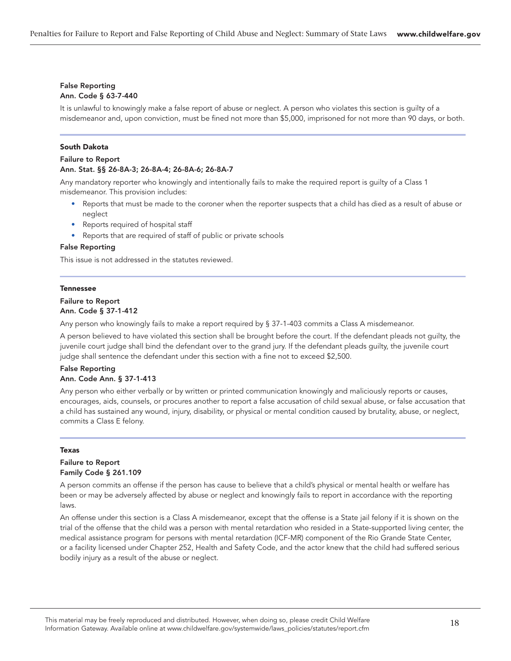#### False Reporting Ann. Code § 63-7-440

It is unlawful to knowingly make a false report of abuse or neglect. A person who violates this section is guilty of a misdemeanor and, upon conviction, must be fined not more than \$5,000, imprisoned for not more than 90 days, or both.

#### South Dakota

#### Failure to Report Ann. Stat. §§ 26-8A-3; 26-8A-4; 26-8A-6; 26-8A-7

Any mandatory reporter who knowingly and intentionally fails to make the required report is guilty of a Class 1 misdemeanor. This provision includes:

- Reports that must be made to the coroner when the reporter suspects that a child has died as a result of abuse or neglect
- Reports required of hospital staff
- Reports that are required of staff of public or private schools

#### False Reporting

This issue is not addressed in the statutes reviewed.

#### Tennessee

# Failure to Report Ann. Code § 37-1-412

Any person who knowingly fails to make a report required by § 37-1-403 commits a Class A misdemeanor.

A person believed to have violated this section shall be brought before the court. If the defendant pleads not guilty, the juvenile court judge shall bind the defendant over to the grand jury. If the defendant pleads guilty, the juvenile court judge shall sentence the defendant under this section with a fine not to exceed \$2,500.

# False Reporting Ann. Code Ann. § 37-1-413

Any person who either verbally or by written or printed communication knowingly and maliciously reports or causes, encourages, aids, counsels, or procures another to report a false accusation of child sexual abuse, or false accusation that a child has sustained any wound, injury, disability, or physical or mental condition caused by brutality, abuse, or neglect, commits a Class E felony.

#### **Texas**

# Failure to Report Family Code § 261.109

A person commits an offense if the person has cause to believe that a child's physical or mental health or welfare has been or may be adversely affected by abuse or neglect and knowingly fails to report in accordance with the reporting laws.

An offense under this section is a Class A misdemeanor, except that the offense is a State jail felony if it is shown on the trial of the offense that the child was a person with mental retardation who resided in a State-supported living center, the medical assistance program for persons with mental retardation (ICF-MR) component of the Rio Grande State Center, or a facility licensed under Chapter 252, Health and Safety Code, and the actor knew that the child had suffered serious bodily injury as a result of the abuse or neglect.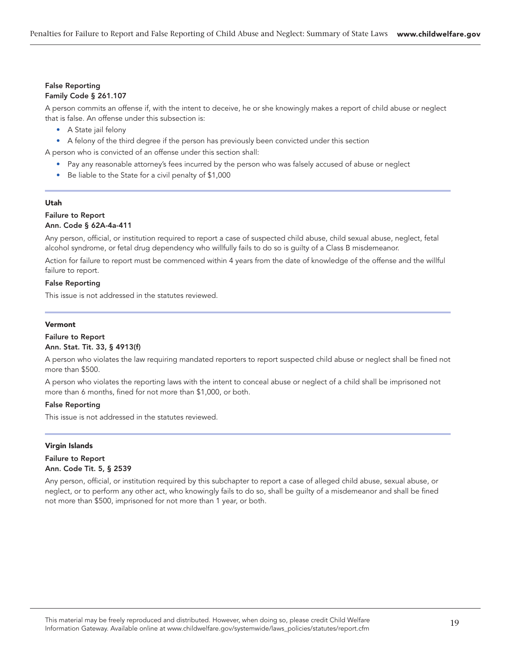#### False Reporting Family Code § 261.107

A person commits an offense if, with the intent to deceive, he or she knowingly makes a report of child abuse or neglect that is false. An offense under this subsection is:

- A State jail felony
- A felony of the third degree if the person has previously been convicted under this section

A person who is convicted of an offense under this section shall:

- Pay any reasonable attorney's fees incurred by the person who was falsely accused of abuse or neglect
- Be liable to the State for a civil penalty of \$1,000

#### Utah

# Failure to Report

# Ann. Code § 62A-4a-411

Any person, official, or institution required to report a case of suspected child abuse, child sexual abuse, neglect, fetal alcohol syndrome, or fetal drug dependency who willfully fails to do so is guilty of a Class B misdemeanor.

Action for failure to report must be commenced within 4 years from the date of knowledge of the offense and the willful failure to report.

#### False Reporting

This issue is not addressed in the statutes reviewed.

#### Vermont

#### Failure to Report Ann. Stat. Tit. 33, § 4913(f)

A person who violates the law requiring mandated reporters to report suspected child abuse or neglect shall be fined not more than \$500.

A person who violates the reporting laws with the intent to conceal abuse or neglect of a child shall be imprisoned not more than 6 months, fined for not more than \$1,000, or both.

#### False Reporting

This issue is not addressed in the statutes reviewed.

#### Virgin Islands

Failure to Report Ann. Code Tit. 5, § 2539

Any person, official, or institution required by this subchapter to report a case of alleged child abuse, sexual abuse, or neglect, or to perform any other act, who knowingly fails to do so, shall be guilty of a misdemeanor and shall be fined not more than \$500, imprisoned for not more than 1 year, or both.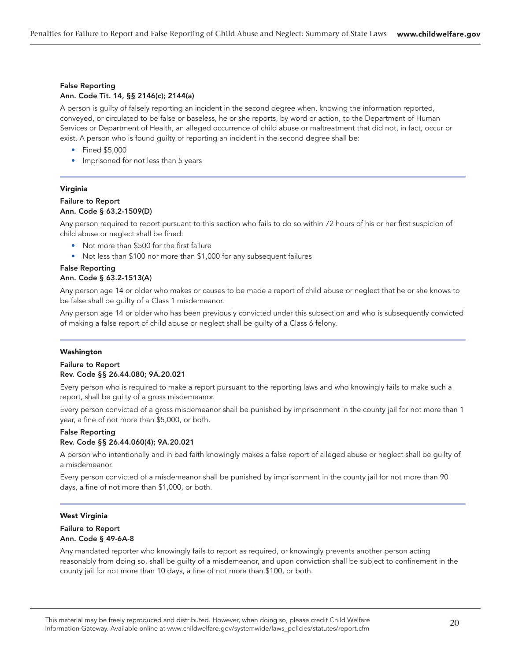# False Reporting Ann. Code Tit. 14, §§ 2146(c); 2144(a)

A person is guilty of falsely reporting an incident in the second degree when, knowing the information reported, conveyed, or circulated to be false or baseless, he or she reports, by word or action, to the Department of Human Services or Department of Health, an alleged occurrence of child abuse or maltreatment that did not, in fact, occur or exist. A person who is found guilty of reporting an incident in the second degree shall be:

- Fined \$5,000
- Imprisoned for not less than 5 years

# Virginia

#### Failure to Report Ann. Code § 63.2-1509(D)

Any person required to report pursuant to this section who fails to do so within 72 hours of his or her first suspicion of child abuse or neglect shall be fined:

- Not more than \$500 for the first failure
- Not less than \$100 nor more than \$1,000 for any subsequent failures

#### False Reporting Ann. Code § 63.2-1513(A)

Any person age 14 or older who makes or causes to be made a report of child abuse or neglect that he or she knows to be false shall be guilty of a Class 1 misdemeanor.

Any person age 14 or older who has been previously convicted under this subsection and who is subsequently convicted of making a false report of child abuse or neglect shall be guilty of a Class 6 felony.

# Washington

#### Failure to Report Rev. Code §§ 26.44.080; 9A.20.021

Every person who is required to make a report pursuant to the reporting laws and who knowingly fails to make such a report, shall be guilty of a gross misdemeanor.

Every person convicted of a gross misdemeanor shall be punished by imprisonment in the county jail for not more than 1 year, a fine of not more than \$5,000, or both.

#### False Reporting Rev. Code §§ 26.44.060(4); 9A.20.021

A person who intentionally and in bad faith knowingly makes a false report of alleged abuse or neglect shall be guilty of a misdemeanor.

Every person convicted of a misdemeanor shall be punished by imprisonment in the county jail for not more than 90 days, a fine of not more than \$1,000, or both.

# West Virginia

#### Failure to Report Ann. Code § 49-6A-8

Any mandated reporter who knowingly fails to report as required, or knowingly prevents another person acting reasonably from doing so, shall be guilty of a misdemeanor, and upon conviction shall be subject to confinement in the county jail for not more than 10 days, a fine of not more than \$100, or both.